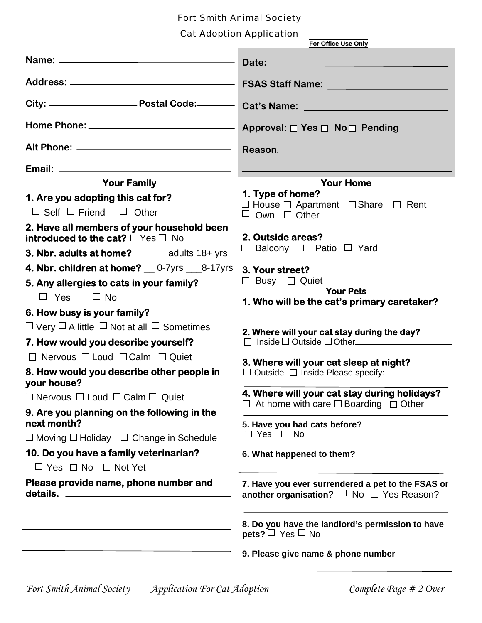## Fort Smith Animal Society

### Cat Adoption Application

|                                                                                                                                             | Cat Adoption Application<br>For Office Use Only                                                               |  |
|---------------------------------------------------------------------------------------------------------------------------------------------|---------------------------------------------------------------------------------------------------------------|--|
|                                                                                                                                             |                                                                                                               |  |
|                                                                                                                                             |                                                                                                               |  |
|                                                                                                                                             |                                                                                                               |  |
|                                                                                                                                             | Approval: □ Yes □ No□ Pending                                                                                 |  |
|                                                                                                                                             | Reason: Network and the settlement of the settlement of the settlement of the settlement of the settlement of |  |
|                                                                                                                                             |                                                                                                               |  |
| <b>Your Family</b>                                                                                                                          | <b>Your Home</b>                                                                                              |  |
| 1. Are you adopting this cat for?                                                                                                           | 1. Type of home?                                                                                              |  |
| $\Box$ Self $\Box$ Friend $\Box$ Other                                                                                                      | $\Box$ House $\Box$ Apartment $\Box$ Share $\Box$ Rent<br>$\Box$ Own $\Box$ Other                             |  |
| 2. Have all members of your household been<br>introduced to the cat? $\Box$ Yes $\Box$ No<br>3. Nbr. adults at home? _______ adults 18+ yrs | 2. Outside areas?<br>$\Box$ Balcony $\Box$ Patio $\Box$ Yard                                                  |  |
| 4. Nbr. children at home? __ 0-7yrs ___8-17yrs                                                                                              |                                                                                                               |  |
| 5. Any allergies to cats in your family?                                                                                                    | 3. Your street?<br>$\Box$ Busy $\Box$ Quiet                                                                   |  |
| $\Box$ No<br>$\Box$ Yes                                                                                                                     | <b>Your Pets</b>                                                                                              |  |
|                                                                                                                                             | 1. Who will be the cat's primary caretaker?                                                                   |  |
| 6. How busy is your family?                                                                                                                 |                                                                                                               |  |
| $\Box$ Very $\Box$ A little $\Box$ Not at all $\Box$ Sometimes                                                                              | 2. Where will your cat stay during the day?                                                                   |  |
| 7. How would you describe yourself?                                                                                                         | $\Box$ Inside $\Box$ Outside $\Box$ Other                                                                     |  |
| $\Box$ Nervous $\Box$ Loud $\Box$ Calm $\Box$ Quiet                                                                                         | 3. Where will your cat sleep at night?                                                                        |  |
| 8. How would you describe other people in<br>your house?                                                                                    | $\Box$ Outside $\Box$ Inside Please specify:                                                                  |  |
| $\Box$ Nervous $\Box$ Loud $\Box$ Calm $\Box$ Quiet                                                                                         | 4. Where will your cat stay during holidays?                                                                  |  |
| 9. Are you planning on the following in the                                                                                                 | $\Box$ At home with care $\Box$ Boarding $\Box$ Other                                                         |  |
| next month?                                                                                                                                 | 5. Have you had cats before?                                                                                  |  |
| $\Box$ Moving $\Box$ Holiday $\Box$ Change in Schedule                                                                                      | $\Box$ Yes $\Box$ No                                                                                          |  |
| 10. Do you have a family veterinarian?                                                                                                      | 6. What happened to them?                                                                                     |  |
| $\Box$ Yes $\Box$ No $\Box$ Not Yet                                                                                                         |                                                                                                               |  |
| Please provide name, phone number and                                                                                                       | 7. Have you ever surrendered a pet to the FSAS or<br>another organisation? $\Box$ No $\Box$ Yes Reason?       |  |
|                                                                                                                                             | 8. Do you have the landlord's permission to have<br><b>pets?</b> $\Box$ Yes $\Box$ No                         |  |
|                                                                                                                                             | 9. Please give name & phone number                                                                            |  |